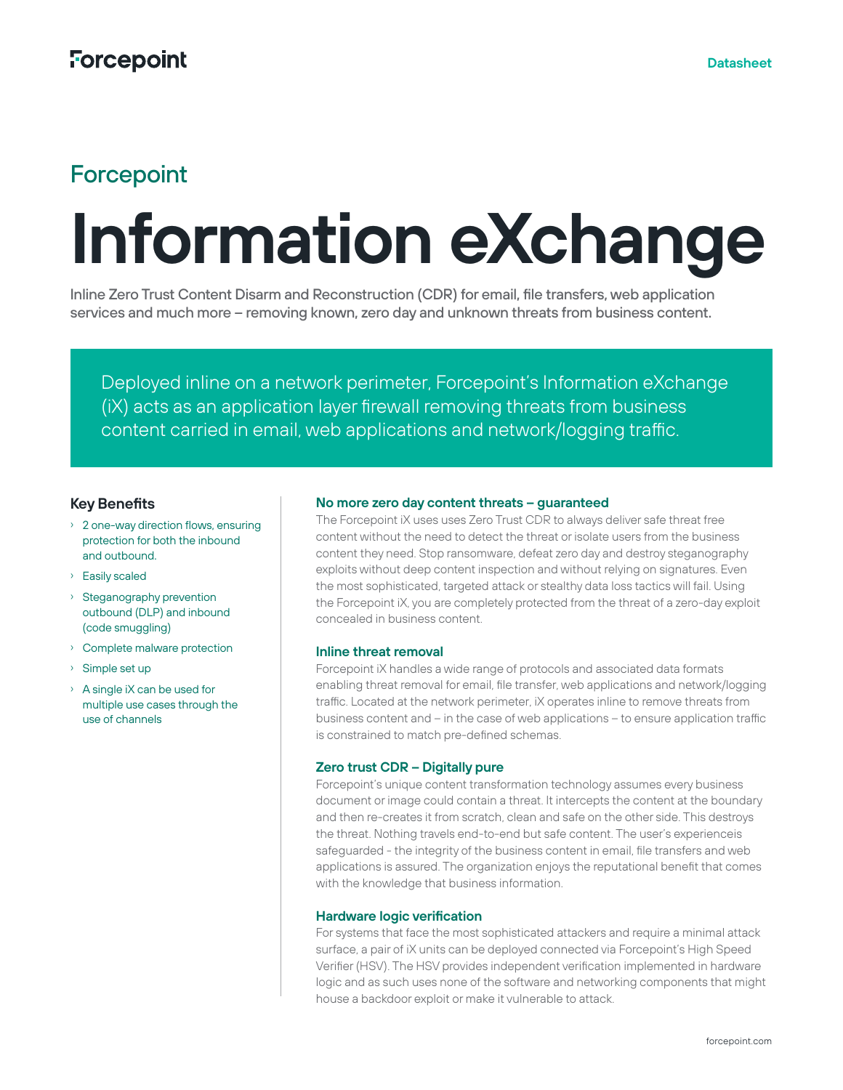# **Forcepoint**

# **Information eXchange**

Inline Zero Trust Content Disarm and Reconstruction (CDR) for email, file transfers, web application services and much more – removing known, zero day and unknown threats from business content.

Deployed inline on a network perimeter, Forcepoint's Information eXchange (iX) acts as an application layer firewall removing threats from business content carried in email, web applications and network/logging traffic.

# **Key Benefits**

- › 2 one-way direction flows, ensuring protection for both the inbound and outbound.
- › Easily scaled
- › Steganography prevention outbound (DLP) and inbound (code smuggling)
- › Complete malware protection
- › Simple set up
- › A single iX can be used for multiple use cases through the use of channels

## **No more zero day content threats – guaranteed**

The Forcepoint iX uses uses Zero Trust CDR to always deliver safe threat free content without the need to detect the threat or isolate users from the business content they need. Stop ransomware, defeat zero day and destroy steganography exploits without deep content inspection and without relying on signatures. Even the most sophisticated, targeted attack or stealthy data loss tactics will fail. Using the Forcepoint iX, you are completely protected from the threat of a zero-day exploit concealed in business content.

#### **Inline threat removal**

Forcepoint iX handles a wide range of protocols and associated data formats enabling threat removal for email, file transfer, web applications and network/logging traffic. Located at the network perimeter, iX operates inline to remove threats from business content and – in the case of web applications – to ensure application traffic is constrained to match pre-defined schemas.

#### **Zero trust CDR – Digitally pure**

Forcepoint's unique content transformation technology assumes every business document or image could contain a threat. It intercepts the content at the boundary and then re-creates it from scratch, clean and safe on the other side. This destroys the threat. Nothing travels end-to-end but safe content. The user's experienceis safeguarded - the integrity of the business content in email, file transfers and web applications is assured. The organization enjoys the reputational benefit that comes with the knowledge that business information.

#### **Hardware logic verification**

For systems that face the most sophisticated attackers and require a minimal attack surface, a pair of iX units can be deployed connected via Forcepoint's High Speed Verifier (HSV). The HSV provides independent verification implemented in hardware logic and as such uses none of the software and networking components that might house a backdoor exploit or make it vulnerable to attack.